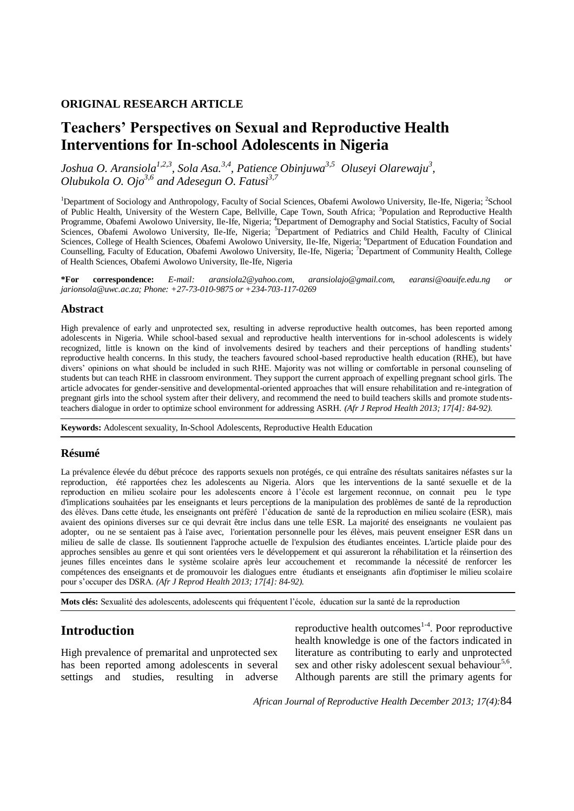#### **ORIGINAL RESEARCH ARTICLE**

# **Teachers' Perspectives on Sexual and Reproductive Health Interventions for In-school Adolescents in Nigeria**

*Joshua O. Aransiola1,2,3 , Sola Asa.3,4, Patience Obinjuwa3,5 Oluseyi Olarewaju<sup>3</sup> , Olubukola O. Ojo3,6 and Adesegun O. Fatusi3,7* 

<sup>1</sup>Department of Sociology and Anthropology, Faculty of Social Sciences, Obafemi Awolowo University, Ile-Ife, Nigeria; <sup>2</sup>School of Public Health, University of the Western Cape, Bellville, Cape Town, South Africa; <sup>3</sup>Population and Reproductive Health Programme, Obafemi Awolowo University, Ile-Ife, Nigeria; <sup>4</sup>Department of Demography and Social Statistics, Faculty of Social Sciences, Obafemi Awolowo University, Ile-Ife, Nigeria; <sup>5</sup>Department of Pediatrics and Child Health, Faculty of Clinical Sciences, College of Health Sciences, Obafemi Awolowo University, Ile-Ife, Nigeria; <sup>6</sup>Department of Education Foundation and Counselling, Faculty of Education, Obafemi Awolowo University, Ile-Ife, Nigeria; <sup>7</sup>Department of Community Health, College of Health Sciences, Obafemi Awolowo University, Ile-Ife, Nigeria

**\*For correspondence:** *E-mail: aransiola2@yahoo.com, aransiolajo@gmail.com, earansi@oauife.edu.ng or jarionsola@uwc.ac.za; Phone: +27-73-010-9875 or +234-703-117-0269* 

#### **Abstract**

High prevalence of early and unprotected sex, resulting in adverse reproductive health outcomes, has been reported among adolescents in Nigeria. While school-based sexual and reproductive health interventions for in-school adolescents is widely recognized, little is known on the kind of involvements desired by teachers and their perceptions of handling students' reproductive health concerns. In this study, the teachers favoured school-based reproductive health education (RHE), but have divers' opinions on what should be included in such RHE. Majority was not willing or comfortable in personal counseling of students but can teach RHE in classroom environment. They support the current approach of expelling pregnant school girls. The article advocates for gender-sensitive and developmental-oriented approaches that will ensure rehabilitation and re-integration of pregnant girls into the school system after their delivery, and recommend the need to build teachers skills and promote studentsteachers dialogue in order to optimize school environment for addressing ASRH. *(Afr J Reprod Health 2013; 17[4]: 84-92).*

**Keywords:** Adolescent sexuality, In-School Adolescents, Reproductive Health Education

#### **Résumé**

La prévalence élevée du début précoce des rapports sexuels non protégés, ce qui entraîne des résultats sanitaires néfastes sur la reproduction, été rapportées chez les adolescents au Nigeria. Alors que les interventions de la santé sexuelle et de la reproduction en milieu scolaire pour les adolescents encore à l'école est largement reconnue, on connait peu le type d'implications souhaitées par les enseignants et leurs perceptions de la manipulation des problèmes de santé de la reproduction des élèves. Dans cette étude, les enseignants ont préféré l'éducation de santé de la reproduction en milieu scolaire (ESR), mais avaient des opinions diverses sur ce qui devrait être inclus dans une telle ESR. La majorité des enseignants ne voulaient pas adopter, ou ne se sentaient pas à l'aise avec, l'orientation personnelle pour les élèves, mais peuvent enseigner ESR dans un milieu de salle de classe. Ils soutiennent l'approche actuelle de l'expulsion des étudiantes enceintes. L'article plaide pour des approches sensibles au genre et qui sont orientées vers le développement et qui assureront la réhabilitation et la réinsertion des jeunes filles enceintes dans le système scolaire après leur accouchement et recommande la nécessité de renforcer les compétences des enseignants et de promouvoir les dialogues entre étudiants et enseignants afin d'optimiser le milieu scolaire pour s'occuper des DSRA. *(Afr J Reprod Health 2013; 17[4]: 84-92).*

**Mots clés:** Sexualité des adolescents, adolescents qui fréquentent l'école, éducation sur la santé de la reproduction

## **Introduction**

High prevalence of premarital and unprotected sex has been reported among adolescents in several settings and studies, resulting in adverse

reproductive health outcomes $1-4$ . Poor reproductive health knowledge is one of the factors indicated in literature as contributing to early and unprotected sex and other risky adolescent sexual behaviour<sup>5,6</sup>. Although parents are still the primary agents for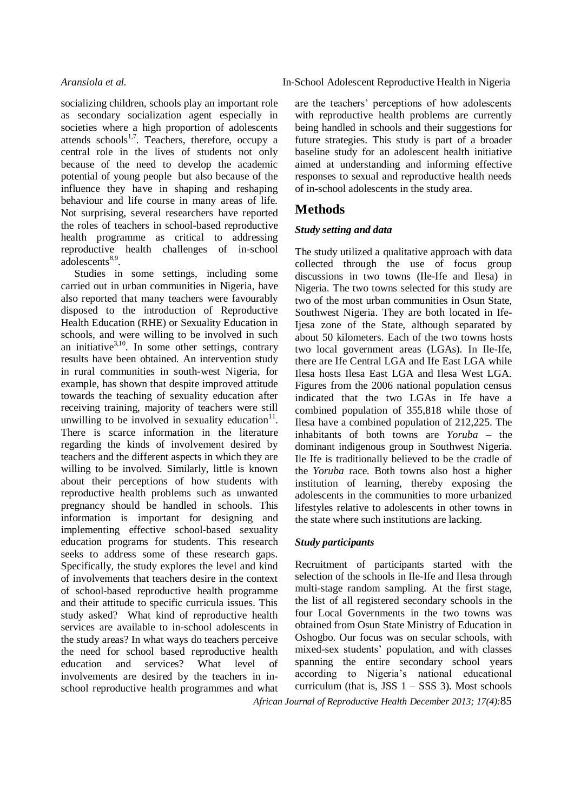socializing children, schools play an important role as secondary socialization agent especially in societies where a high proportion of adolescents attends schools<sup>1,7</sup>. Teachers, therefore, occupy a central role in the lives of students not only because of the need to develop the academic potential of young people but also because of the influence they have in shaping and reshaping behaviour and life course in many areas of life. Not surprising, several researchers have reported the roles of teachers in school-based reproductive health programme as critical to addressing reproductive health challenges of in-school  $a\bar{d}$ olescents<sup>8,9</sup>.

Studies in some settings, including some carried out in urban communities in Nigeria, have also reported that many teachers were favourably disposed to the introduction of Reproductive Health Education (RHE) or Sexuality Education in schools, and were willing to be involved in such an initiative $3,10$ . In some other settings, contrary results have been obtained. An intervention study in rural communities in south-west Nigeria, for example, has shown that despite improved attitude towards the teaching of sexuality education after receiving training, majority of teachers were still unwilling to be involved in sexuality education $11$ . There is scarce information in the literature regarding the kinds of involvement desired by teachers and the different aspects in which they are willing to be involved. Similarly, little is known about their perceptions of how students with reproductive health problems such as unwanted pregnancy should be handled in schools. This information is important for designing and implementing effective school-based sexuality education programs for students. This research seeks to address some of these research gaps. Specifically, the study explores the level and kind of involvements that teachers desire in the context of school-based reproductive health programme and their attitude to specific curricula issues. This study asked? What kind of reproductive health services are available to in-school adolescents in the study areas? In what ways do teachers perceive the need for school based reproductive health education and services? What level of involvements are desired by the teachers in inschool reproductive health programmes and what

#### *Aransiola et al.* In-School Adolescent Reproductive Health in Nigeria

are the teachers' perceptions of how adolescents with reproductive health problems are currently being handled in schools and their suggestions for future strategies. This study is part of a broader baseline study for an adolescent health initiative aimed at understanding and informing effective responses to sexual and reproductive health needs of in-school adolescents in the study area.

## **Methods**

### *Study setting and data*

The study utilized a qualitative approach with data collected through the use of focus group discussions in two towns (Ile-Ife and Ilesa) in Nigeria. The two towns selected for this study are two of the most urban communities in Osun State, Southwest Nigeria. They are both located in Ife-Ijesa zone of the State, although separated by about 50 kilometers. Each of the two towns hosts two local government areas (LGAs). In Ile-Ife, there are Ife Central LGA and Ife East LGA while Ilesa hosts Ilesa East LGA and Ilesa West LGA. Figures from the 2006 national population census indicated that the two LGAs in Ife have a combined population of 355,818 while those of Ilesa have a combined population of 212,225. The inhabitants of both towns are *Yoruba* – the dominant indigenous group in Southwest Nigeria. Ile Ife is traditionally believed to be the cradle of the *Yoruba* race. Both towns also host a higher institution of learning, thereby exposing the adolescents in the communities to more urbanized lifestyles relative to adolescents in other towns in the state where such institutions are lacking.

#### *Study participants*

Recruitment of participants started with the selection of the schools in Ile-Ife and Ilesa through multi-stage random sampling. At the first stage, the list of all registered secondary schools in the four Local Governments in the two towns was obtained from Osun State Ministry of Education in Oshogbo. Our focus was on secular schools, with mixed-sex students' population, and with classes spanning the entire secondary school years according to Nigeria's national educational curriculum (that is, JSS  $1 - SSS$  3). Most schools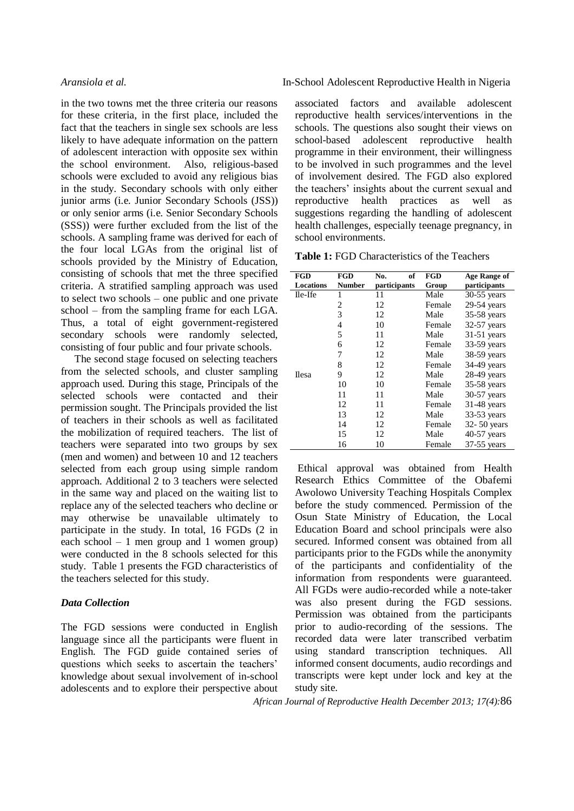in the two towns met the three criteria our reasons for these criteria, in the first place, included the fact that the teachers in single sex schools are less likely to have adequate information on the pattern of adolescent interaction with opposite sex within the school environment. Also, religious-based schools were excluded to avoid any religious bias in the study. Secondary schools with only either junior arms (i.e. Junior Secondary Schools (JSS)) or only senior arms (i.e. Senior Secondary Schools (SSS)) were further excluded from the list of the schools. A sampling frame was derived for each of the four local LGAs from the original list of schools provided by the Ministry of Education, consisting of schools that met the three specified criteria. A stratified sampling approach was used to select two schools – one public and one private school – from the sampling frame for each LGA. Thus, a total of eight government-registered secondary schools were randomly selected, consisting of four public and four private schools.

The second stage focused on selecting teachers from the selected schools, and cluster sampling approach used. During this stage, Principals of the selected schools were contacted and their permission sought. The Principals provided the list of teachers in their schools as well as facilitated the mobilization of required teachers. The list of teachers were separated into two groups by sex (men and women) and between 10 and 12 teachers selected from each group using simple random approach. Additional 2 to 3 teachers were selected in the same way and placed on the waiting list to replace any of the selected teachers who decline or may otherwise be unavailable ultimately to participate in the study. In total, 16 FGDs (2 in each school  $-1$  men group and 1 women group) were conducted in the 8 schools selected for this study. Table 1 presents the FGD characteristics of the teachers selected for this study.

#### *Data Collection*

The FGD sessions were conducted in English language since all the participants were fluent in English. The FGD guide contained series of questions which seeks to ascertain the teachers' knowledge about sexual involvement of in-school adolescents and to explore their perspective about

#### *Aransiola et al.* In-School Adolescent Reproductive Health in Nigeria

associated factors and available adolescent reproductive health services/interventions in the schools. The questions also sought their views on school-based adolescent reproductive health programme in their environment, their willingness to be involved in such programmes and the level of involvement desired. The FGD also explored the teachers' insights about the current sexual and reproductive health practices as well as suggestions regarding the handling of adolescent health challenges, especially teenage pregnancy, in school environments.

**Table 1:** FGD Characteristics of the Teachers

| <b>FGD</b>       | FGD           | of<br>No.    | FGD    | Age Range of  |
|------------------|---------------|--------------|--------|---------------|
| <b>Locations</b> | <b>Number</b> | participants | Group  | participants  |
| Ile-Ife          | 1             | 11           | Male   | $30-55$ years |
|                  | 2             | 12           | Female | 29-54 years   |
|                  | 3             | 12           | Male   | 35-58 years   |
|                  | 4             | 10           | Female | 32-57 years   |
|                  | 5             | 11           | Male   | $31-51$ years |
|                  | 6             | 12           | Female | 33-59 years   |
|                  | 7             | 12           | Male   | 38-59 years   |
|                  | 8             | 12           | Female | 34-49 years   |
| <b>Ilesa</b>     | 9             | 12           | Male   | 28-49 years   |
|                  | 10            | 10           | Female | 35-58 years   |
|                  | 11            | 11           | Male   | 30-57 years   |
|                  | 12            | 11           | Female | $31-48$ years |
|                  | 13            | 12           | Male   | 33-53 years   |
|                  | 14            | 12           | Female | 32-50 years   |
|                  | 15            | 12           | Male   | 40-57 years   |
|                  | 16            | 10           | Female | 37-55 years   |

Ethical approval was obtained from Health Research Ethics Committee of the Obafemi Awolowo University Teaching Hospitals Complex before the study commenced. Permission of the Osun State Ministry of Education, the Local Education Board and school principals were also secured. Informed consent was obtained from all participants prior to the FGDs while the anonymity of the participants and confidentiality of the information from respondents were guaranteed. All FGDs were audio-recorded while a note-taker was also present during the FGD sessions. Permission was obtained from the participants prior to audio-recording of the sessions. The recorded data were later transcribed verbatim using standard transcription techniques. All informed consent documents, audio recordings and transcripts were kept under lock and key at the study site.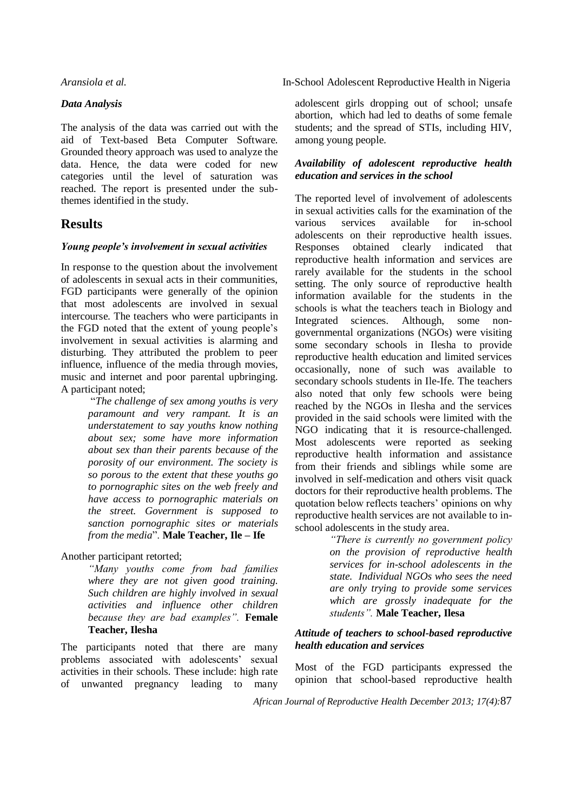#### *Data Analysis*

The analysis of the data was carried out with the aid of Text-based Beta Computer Software. Grounded theory approach was used to analyze the data. Hence, the data were coded for new categories until the level of saturation was reached. The report is presented under the subthemes identified in the study.

## **Results**

#### *Young people's involvement in sexual activities*

In response to the question about the involvement of adolescents in sexual acts in their communities, FGD participants were generally of the opinion that most adolescents are involved in sexual intercourse. The teachers who were participants in the FGD noted that the extent of young people's involvement in sexual activities is alarming and disturbing. They attributed the problem to peer influence, influence of the media through movies, music and internet and poor parental upbringing. A participant noted;

> "*The challenge of sex among youths is very paramount and very rampant. It is an understatement to say youths know nothing about sex; some have more information about sex than their parents because of the porosity of our environment. The society is so porous to the extent that these youths go to pornographic sites on the web freely and have access to pornographic materials on the street. Government is supposed to sanction pornographic sites or materials from the media*". **Male Teacher, Ile – Ife**

#### Another participant retorted;

*"Many youths come from bad families where they are not given good training. Such children are highly involved in sexual activities and influence other children because they are bad examples".* **Female Teacher, Ilesha**

The participants noted that there are many problems associated with adolescents' sexual activities in their schools. These include: high rate of unwanted pregnancy leading to many

*Aransiola et al.* In-School Adolescent Reproductive Health in Nigeria

adolescent girls dropping out of school; unsafe abortion, which had led to deaths of some female students; and the spread of STIs, including HIV, among young people.

#### *Availability of adolescent reproductive health education and services in the school*

The reported level of involvement of adolescents in sexual activities calls for the examination of the various services available for in-school adolescents on their reproductive health issues. Responses obtained clearly indicated that reproductive health information and services are rarely available for the students in the school setting. The only source of reproductive health information available for the students in the schools is what the teachers teach in Biology and Integrated sciences. Although, some nongovernmental organizations (NGOs) were visiting some secondary schools in Ilesha to provide reproductive health education and limited services occasionally, none of such was available to secondary schools students in Ile-Ife. The teachers also noted that only few schools were being reached by the NGOs in Ilesha and the services provided in the said schools were limited with the NGO indicating that it is resource-challenged. Most adolescents were reported as seeking reproductive health information and assistance from their friends and siblings while some are involved in self-medication and others visit quack doctors for their reproductive health problems. The quotation below reflects teachers' opinions on why reproductive health services are not available to inschool adolescents in the study area.

*"There is currently no government policy on the provision of reproductive health services for in-school adolescents in the state. Individual NGOs who sees the need are only trying to provide some services which are grossly inadequate for the students".* **Male Teacher, Ilesa**

#### *Attitude of teachers to school-based reproductive health education and services*

Most of the FGD participants expressed the opinion that school-based reproductive health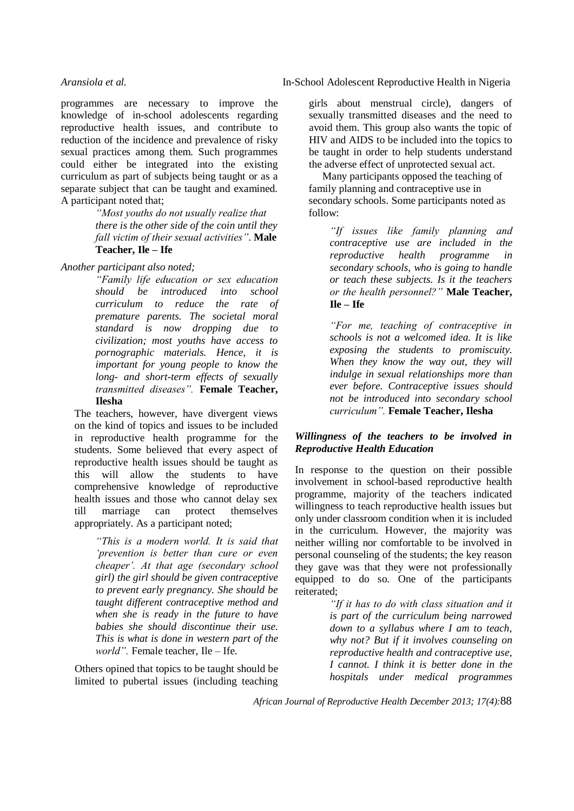programmes are necessary to improve the knowledge of in-school adolescents regarding reproductive health issues, and contribute to reduction of the incidence and prevalence of risky sexual practices among them. Such programmes could either be integrated into the existing curriculum as part of subjects being taught or as a separate subject that can be taught and examined. A participant noted that;

> *"Most youths do not usually realize that there is the other side of the coin until they fall victim of their sexual activities"*. **Male Teacher, Ile – Ife**

*Another participant also noted;*

*"Family life education or sex education should be introduced into school curriculum to reduce the rate of premature parents. The societal moral standard is now dropping due to civilization; most youths have access to pornographic materials. Hence, it is important for young people to know the long- and short-term effects of sexually transmitted diseases".* **Female Teacher, Ilesha**

The teachers, however, have divergent views on the kind of topics and issues to be included in reproductive health programme for the students. Some believed that every aspect of reproductive health issues should be taught as this will allow the students to have comprehensive knowledge of reproductive health issues and those who cannot delay sex till marriage can protect themselves appropriately. As a participant noted;

> *"This is a modern world. It is said that 'prevention is better than cure or even cheaper'. At that age (secondary school girl) the girl should be given contraceptive to prevent early pregnancy. She should be taught different contraceptive method and when she is ready in the future to have babies she should discontinue their use. This is what is done in western part of the world".* Female teacher, Ile – Ife.

Others opined that topics to be taught should be limited to pubertal issues (including teaching

*Aransiola et al.* In-School Adolescent Reproductive Health in Nigeria

girls about menstrual circle), dangers of sexually transmitted diseases and the need to avoid them. This group also wants the topic of HIV and AIDS to be included into the topics to be taught in order to help students understand the adverse effect of unprotected sexual act.

Many participants opposed the teaching of family planning and contraceptive use in secondary schools. Some participants noted as follow:

> *"If issues like family planning and contraceptive use are included in the reproductive health programme in secondary schools, who is going to handle or teach these subjects. Is it the teachers or the health personnel?"* **Male Teacher, Ile – Ife**

> *"For me, teaching of contraceptive in schools is not a welcomed idea. It is like exposing the students to promiscuity. When they know the way out, they will indulge in sexual relationships more than ever before. Contraceptive issues should not be introduced into secondary school curriculum".* **Female Teacher, Ilesha**

### *Willingness of the teachers to be involved in Reproductive Health Education*

In response to the question on their possible involvement in school-based reproductive health programme, majority of the teachers indicated willingness to teach reproductive health issues but only under classroom condition when it is included in the curriculum. However, the majority was neither willing nor comfortable to be involved in personal counseling of the students; the key reason they gave was that they were not professionally equipped to do so. One of the participants reiterated;

> *"If it has to do with class situation and it is part of the curriculum being narrowed down to a syllabus where I am to teach, why not? But if it involves counseling on reproductive health and contraceptive use, I cannot. I think it is better done in the hospitals under medical programmes*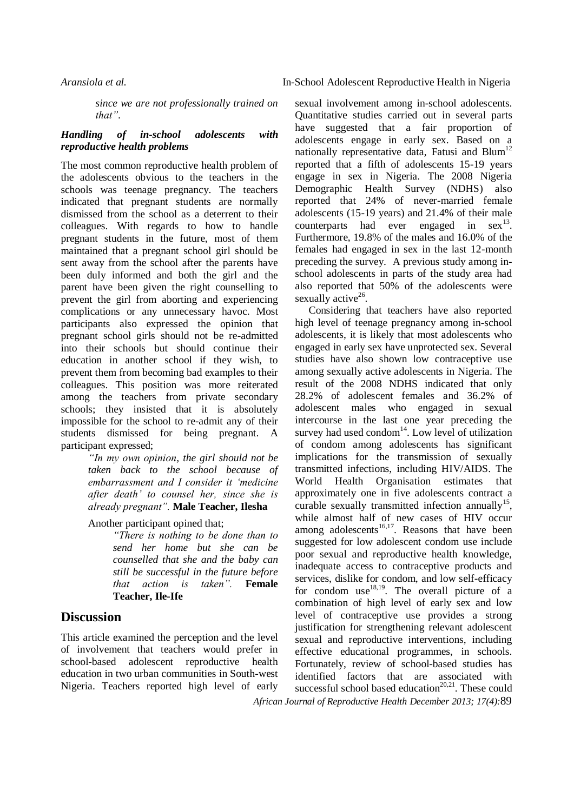*since we are not professionally trained on that"*.

#### *Handling of in-school adolescents with reproductive health problems*

The most common reproductive health problem of the adolescents obvious to the teachers in the schools was teenage pregnancy. The teachers indicated that pregnant students are normally dismissed from the school as a deterrent to their colleagues. With regards to how to handle pregnant students in the future, most of them maintained that a pregnant school girl should be sent away from the school after the parents have been duly informed and both the girl and the parent have been given the right counselling to prevent the girl from aborting and experiencing complications or any unnecessary havoc. Most participants also expressed the opinion that pregnant school girls should not be re-admitted into their schools but should continue their education in another school if they wish, to prevent them from becoming bad examples to their colleagues. This position was more reiterated among the teachers from private secondary schools; they insisted that it is absolutely impossible for the school to re-admit any of their students dismissed for being pregnant. A participant expressed;

*"In my own opinion, the girl should not be taken back to the school because of embarrassment and I consider it 'medicine after death' to counsel her, since she is already pregnant".* **Male Teacher, Ilesha**

Another participant opined that;

*"There is nothing to be done than to send her home but she can be counselled that she and the baby can still be successful in the future before that action is taken".* **Female Teacher, Ile-Ife**

## **Discussion**

This article examined the perception and the level of involvement that teachers would prefer in school-based adolescent reproductive health education in two urban communities in South-west Nigeria. Teachers reported high level of early

sexual involvement among in-school adolescents. Quantitative studies carried out in several parts have suggested that a fair proportion of adolescents engage in early sex. Based on a nationally representative data, Fatusi and Blum<sup>12</sup> reported that a fifth of adolescents 15-19 years engage in sex in Nigeria. The 2008 Nigeria Demographic Health Survey (NDHS) also reported that 24% of never-married female adolescents (15-19 years) and 21.4% of their male counterparts had ever engaged in  $sex^{13}$ . Furthermore, 19.8% of the males and 16.0% of the females had engaged in sex in the last 12-month preceding the survey. A previous study among inschool adolescents in parts of the study area had also reported that 50% of the adolescents were sexually active<sup>26</sup>.

*African Journal of Reproductive Health December 2013; 17(4):*89 Considering that teachers have also reported high level of teenage pregnancy among in-school adolescents, it is likely that most adolescents who engaged in early sex have unprotected sex. Several studies have also shown low contraceptive use among sexually active adolescents in Nigeria. The result of the 2008 NDHS indicated that only 28.2% of adolescent females and 36.2% of adolescent males who engaged in sexual intercourse in the last one year preceding the survey had used condom<sup>14</sup>. Low level of utilization of condom among adolescents has significant implications for the transmission of sexually transmitted infections, including HIV/AIDS. The World Health Organisation estimates that approximately one in five adolescents contract a curable sexually transmitted infection annually<sup>15</sup>, while almost half of new cases of HIV occur among adolescents<sup>16,17</sup>. Reasons that have been suggested for low adolescent condom use include poor sexual and reproductive health knowledge, inadequate access to contraceptive products and services, dislike for condom, and low self-efficacy for condom use<sup>18,19</sup>. The overall picture of a combination of high level of early sex and low level of contraceptive use provides a strong justification for strengthening relevant adolescent sexual and reproductive interventions, including effective educational programmes, in schools. Fortunately, review of school-based studies has identified factors that are associated with successful school based education<sup> $20,21$ </sup>. These could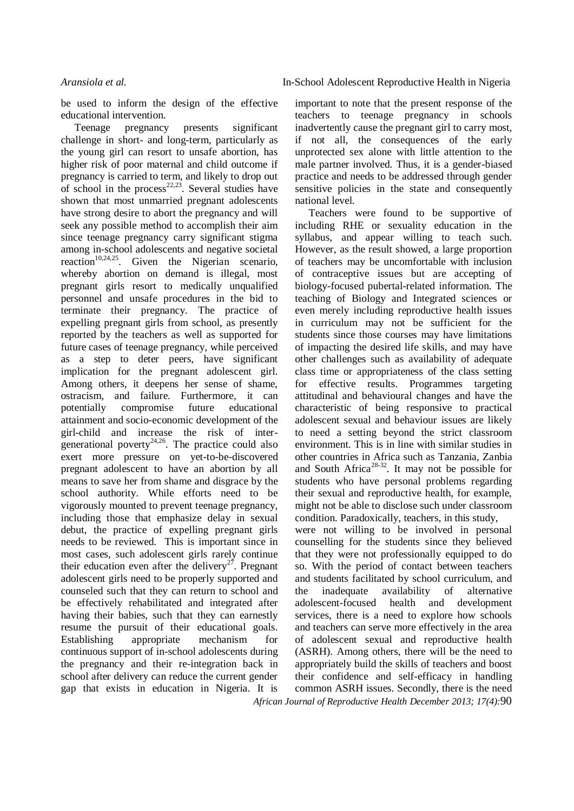be used to inform the design of the effective educational intervention.

Teenage pregnancy presents significant challenge in short- and long-term, particularly as the young girl can resort to unsafe abortion, has higher risk of poor maternal and child outcome if pregnancy is carried to term, and likely to drop out of school in the process<sup>22,23</sup>. Several studies have shown that most unmarried pregnant adolescents have strong desire to abort the pregnancy and will seek any possible method to accomplish their aim since teenage pregnancy carry significant stigma among in-school adolescents and negative societal reaction<sup>10,24,25</sup>. Given the Nigerian scenario, whereby abortion on demand is illegal, most pregnant girls resort to medically unqualified personnel and unsafe procedures in the bid to terminate their pregnancy. The practice of expelling pregnant girls from school, as presently reported by the teachers as well as supported for future cases of teenage pregnancy, while perceived as a step to deter peers, have significant implication for the pregnant adolescent girl. Among others, it deepens her sense of shame, ostracism, and failure. Furthermore, it can potentially compromise future educational attainment and socio-economic development of the girl-child and increase the risk of intergenerational poverty<sup>24,26</sup>. The practice could also exert more pressure on yet-to-be-discovered pregnant adolescent to have an abortion by all means to save her from shame and disgrace by the school authority. While efforts need to be vigorously mounted to prevent teenage pregnancy, including those that emphasize delay in sexual debut, the practice of expelling pregnant girls needs to be reviewed. This is important since in most cases, such adolescent girls rarely continue their education even after the delivery<sup>27</sup>. Pregnant adolescent girls need to be properly supported and counseled such that they can return to school and be effectively rehabilitated and integrated after having their babies, such that they can earnestly resume the pursuit of their educational goals. Establishing appropriate mechanism for continuous support of in-school adolescents during the pregnancy and their re-integration back in school after delivery can reduce the current gender gap that exists in education in Nigeria. It is

important to note that the present response of the teachers to teenage pregnancy in schools inadvertently cause the pregnant girl to carry most, if not all, the consequences of the early unprotected sex alone with little attention to the male partner involved. Thus, it is a gender-biased practice and needs to be addressed through gender sensitive policies in the state and consequently national level.

Teachers were found to be supportive of including RHE or sexuality education in the syllabus, and appear willing to teach such. However, as the result showed, a large proportion of teachers may be uncomfortable with inclusion of contraceptive issues but are accepting of biology-focused pubertal-related information. The teaching of Biology and Integrated sciences or even merely including reproductive health issues in curriculum may not be sufficient for the students since those courses may have limitations of impacting the desired life skills, and may have other challenges such as availability of adequate class time or appropriateness of the class setting for effective results. Programmes targeting attitudinal and behavioural changes and have the characteristic of being responsive to practical adolescent sexual and behaviour issues are likely to need a setting beyond the strict classroom environment. This is in line with similar studies in other countries in Africa such as Tanzania, Zanbia and South Africa<sup>28-32</sup>. It may not be possible for students who have personal problems regarding their sexual and reproductive health, for example, might not be able to disclose such under classroom condition. Paradoxically, teachers, in this study,

*African Journal of Reproductive Health December 2013; 17(4):*90 were not willing to be involved in personal counselling for the students since they believed that they were not professionally equipped to do so. With the period of contact between teachers and students facilitated by school curriculum, and the inadequate availability of alternative adolescent-focused health and development services, there is a need to explore how schools and teachers can serve more effectively in the area of adolescent sexual and reproductive health (ASRH). Among others, there will be the need to appropriately build the skills of teachers and boost their confidence and self-efficacy in handling common ASRH issues. Secondly, there is the need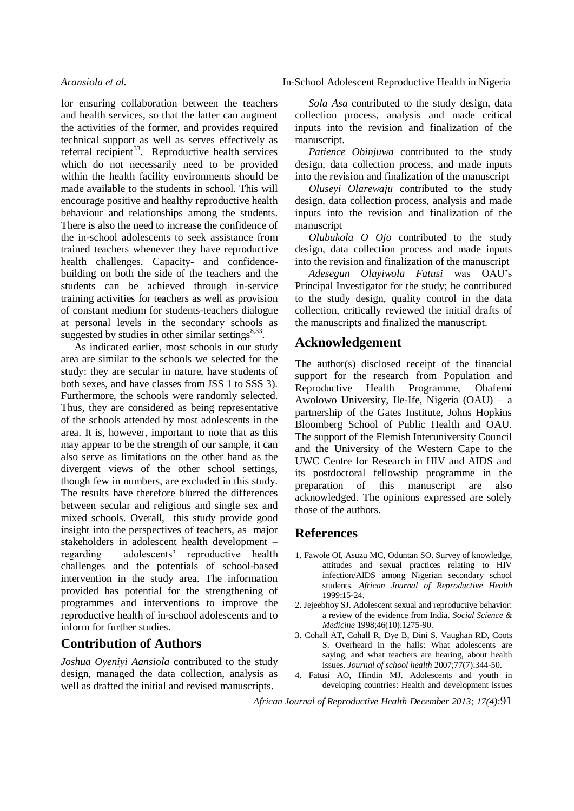for ensuring collaboration between the teachers and health services, so that the latter can augment the activities of the former, and provides required technical support as well as serves effectively as referral recipient<sup>33</sup>. Reproductive health services which do not necessarily need to be provided within the health facility environments should be made available to the students in school. This will encourage positive and healthy reproductive health behaviour and relationships among the students. There is also the need to increase the confidence of the in-school adolescents to seek assistance from trained teachers whenever they have reproductive health challenges. Capacity- and confidencebuilding on both the side of the teachers and the students can be achieved through in-service training activities for teachers as well as provision of constant medium for students-teachers dialogue at personal levels in the secondary schools as suggested by studies in other similar settings $8,33$ .

As indicated earlier, most schools in our study area are similar to the schools we selected for the study: they are secular in nature, have students of both sexes, and have classes from JSS 1 to SSS 3). Furthermore, the schools were randomly selected. Thus, they are considered as being representative of the schools attended by most adolescents in the area. It is, however, important to note that as this may appear to be the strength of our sample, it can also serve as limitations on the other hand as the divergent views of the other school settings, though few in numbers, are excluded in this study. The results have therefore blurred the differences between secular and religious and single sex and mixed schools. Overall, this study provide good insight into the perspectives of teachers, as major stakeholders in adolescent health development – regarding adolescents' reproductive health challenges and the potentials of school-based intervention in the study area. The information provided has potential for the strengthening of programmes and interventions to improve the reproductive health of in-school adolescents and to inform for further studies.

## **Contribution of Authors**

*Joshua Oyeniyi Aansiola* contributed to the study design, managed the data collection, analysis as well as drafted the initial and revised manuscripts.

#### *Aransiola et al.* In-School Adolescent Reproductive Health in Nigeria

*Sola Asa* contributed to the study design, data collection process, analysis and made critical inputs into the revision and finalization of the manuscript.

*Patience Obinjuwa* contributed to the study design, data collection process, and made inputs into the revision and finalization of the manuscript

*Oluseyi Olarewaju* contributed to the study design, data collection process, analysis and made inputs into the revision and finalization of the manuscript

*Olubukola O Ojo* contributed to the study design, data collection process and made inputs into the revision and finalization of the manuscript

*Adesegun Olayiwola Fatusi* was OAU's Principal Investigator for the study; he contributed to the study design, quality control in the data collection, critically reviewed the initial drafts of the manuscripts and finalized the manuscript.

### **Acknowledgement**

The author(s) disclosed receipt of the financial support for the research from Population and Reproductive Health Programme, Obafemi Awolowo University, Ile-Ife, Nigeria (OAU) – a partnership of the Gates Institute, Johns Hopkins Bloomberg School of Public Health and OAU. The support of the Flemish Interuniversity Council and the University of the Western Cape to the UWC Centre for Research in HIV and AIDS and its postdoctoral fellowship programme in the preparation of this manuscript are also acknowledged. The opinions expressed are solely those of the authors.

## **References**

- 1. Fawole OI, Asuzu MC, Oduntan SO. Survey of knowledge, attitudes and sexual practices relating to HIV infection/AIDS among Nigerian secondary school students. *African Journal of Reproductive Health* 1999:15-24.
- 2. Jejeebhoy SJ. Adolescent sexual and reproductive behavior: a review of the evidence from India. *Social Science & Medicine* 1998;46(10):1275-90.
- 3. Cohall AT, Cohall R, Dye B, Dini S, Vaughan RD, Coots S. Overheard in the halls: What adolescents are saying, and what teachers are hearing, about health issues. *Journal of school health* 2007;77(7):344-50.
- 4. Fatusi AO, Hindin MJ. Adolescents and youth in developing countries: Health and development issues